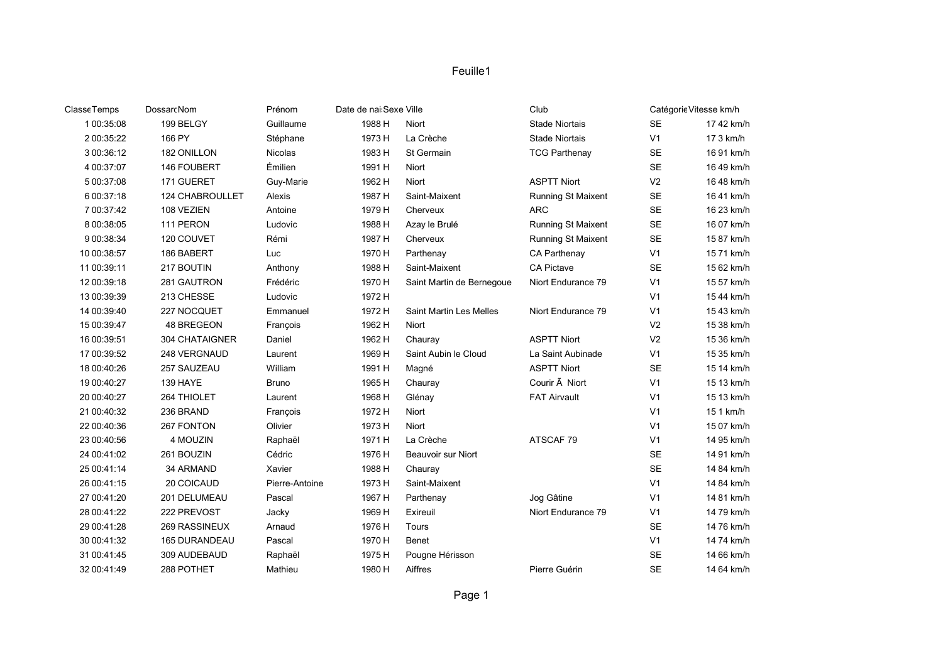| <b>ClasseTemps</b> | DossarcNom      | Prénom         | Date de nai:Sexe Ville |                           | Club                     |                | Catégorie Vitesse km/h |
|--------------------|-----------------|----------------|------------------------|---------------------------|--------------------------|----------------|------------------------|
| 1 00:35:08         | 199 BELGY       | Guillaume      | 1988 H                 | Niort                     | <b>Stade Niortais</b>    | <b>SE</b>      | 17 42 km/h             |
| 2 00:35:22         | 166 PY          | Stéphane       | 1973 H                 | La Crèche                 | <b>Stade Niortais</b>    | V <sub>1</sub> | 17 3 km/h              |
| 3 00:36:12         | 182 ONILLON     | <b>Nicolas</b> | 1983 H                 | St Germain                | <b>TCG Parthenay</b>     | SE             | 16 91 km/h             |
| 4 00:37:07         | 146 FOUBERT     | Émilien        | 1991 H                 | Niort                     |                          | <b>SE</b>      | 16 49 km/h             |
| 5 00:37:08         | 171 GUERET      | Guy-Marie      | 1962 H                 | Niort                     | <b>ASPTT Niort</b>       | V <sub>2</sub> | 16 48 km/h             |
| 6 00:37:18         | 124 CHABROULLET | Alexis         | 1987 H                 | Saint-Maixent             | Running St Maixent       | $\sf SE$       | 16 41 km/h             |
| 7 00:37:42         | 108 VEZIEN      | Antoine        | 1979 H                 | Cherveux                  | <b>ARC</b>               | $\sf SE$       | 16 23 km/h             |
| 8 00:38:05         | 111 PERON       | Ludovic        | 1988 H                 | Azay le Brulé             | Running St Maixent       | $\sf SE$       | 16 07 km/h             |
| 9 00:38:34         | 120 COUVET      | Rémi           | 1987 H                 | Cherveux                  | Running St Maixent       | $\sf SE$       | 15 87 km/h             |
| 10 00:38:57        | 186 BABERT      | Luc            | 1970 H                 | Parthenay                 | CA Parthenay             | V <sub>1</sub> | 15 71 km/h             |
| 11 00:39:11        | 217 BOUTIN      | Anthony        | 1988 H                 | Saint-Maixent             | CA Pictave               | <b>SE</b>      | 15 62 km/h             |
| 12 00:39:18        | 281 GAUTRON     | Frédéric       | 1970 H                 | Saint Martin de Bernegoue | Niort Endurance 79       | V <sub>1</sub> | 15 57 km/h             |
| 13 00:39:39        | 213 CHESSE      | Ludovic        | 1972 H                 |                           |                          | V <sub>1</sub> | 15 44 km/h             |
| 14 00:39:40        | 227 NOCQUET     | Emmanuel       | 1972 H                 | Saint Martin Les Melles   | Niort Endurance 79       | V <sub>1</sub> | 15 43 km/h             |
| 15 00:39:47        | 48 BREGEON      | François       | 1962 H                 | Niort                     |                          | V <sub>2</sub> | 15 38 km/h             |
| 16 00:39:51        | 304 CHATAIGNER  | Daniel         | 1962 H                 | Chauray                   | <b>ASPTT Niort</b>       | V <sub>2</sub> | 15 36 km/h             |
| 17 00:39:52        | 248 VERGNAUD    | Laurent        | 1969 H                 | Saint Aubin le Cloud      | La Saint Aubinade        | V <sub>1</sub> | 15 35 km/h             |
| 18 00:40:26        | 257 SAUZEAU     | William        | 1991 H                 | Magné                     | <b>ASPTT Niort</b>       | <b>SE</b>      | 15 14 km/h             |
| 19 00:40:27        | 139 HAYE        | <b>Bruno</b>   | 1965 H                 | Chauray                   | Courir $\tilde{A}$ Niort | V <sub>1</sub> | 15 13 km/h             |
| 20 00:40:27        | 264 THIOLET     | Laurent        | 1968 H                 | Glénay                    | <b>FAT Airvault</b>      | V <sub>1</sub> | 15 13 km/h             |
| 21 00:40:32        | 236 BRAND       | François       | 1972 H                 | Niort                     |                          | V <sub>1</sub> | 15 1 km/h              |
| 22 00:40:36        | 267 FONTON      | Olivier        | 1973 H                 | Niort                     |                          | V <sub>1</sub> | 15 07 km/h             |
| 23 00:40:56        | 4 MOUZIN        | Raphaël        | 1971 H                 | La Crèche                 | ATSCAF 79                | V <sub>1</sub> | 14 95 km/h             |
| 24 00:41:02        | 261 BOUZIN      | Cédric         | 1976 H                 | Beauvoir sur Niort        |                          | <b>SE</b>      | 14 91 km/h             |
| 25 00:41:14        | 34 ARMAND       | Xavier         | 1988 H                 | Chauray                   |                          | <b>SE</b>      | 14 84 km/h             |
| 26 00:41:15        | 20 COICAUD      | Pierre-Antoine | 1973 H                 | Saint-Maixent             |                          | V <sub>1</sub> | 14 84 km/h             |
| 27 00:41:20        | 201 DELUMEAU    | Pascal         | 1967 H                 | Parthenay                 | Jog Gâtine               | V <sub>1</sub> | 14 81 km/h             |
| 28 00:41:22        | 222 PREVOST     | Jacky          | 1969 H                 | Exireuil                  | Niort Endurance 79       | V <sub>1</sub> | 14 79 km/h             |
| 29 00:41:28        | 269 RASSINEUX   | Arnaud         | 1976 H                 | Tours                     |                          | <b>SE</b>      | 14 76 km/h             |
| 30 00:41:32        | 165 DURANDEAU   | Pascal         | 1970 H                 | <b>Benet</b>              |                          | V <sub>1</sub> | 14 74 km/h             |
| 31 00:41:45        | 309 AUDEBAUD    | Raphaël        | 1975 H                 | Pougne Hérisson           |                          | <b>SE</b>      | 14 66 km/h             |
| 32 00:41:49        | 288 POTHET      | Mathieu        | 1980 H                 | Aiffres                   | Pierre Guérin            | <b>SE</b>      | 14 64 km/h             |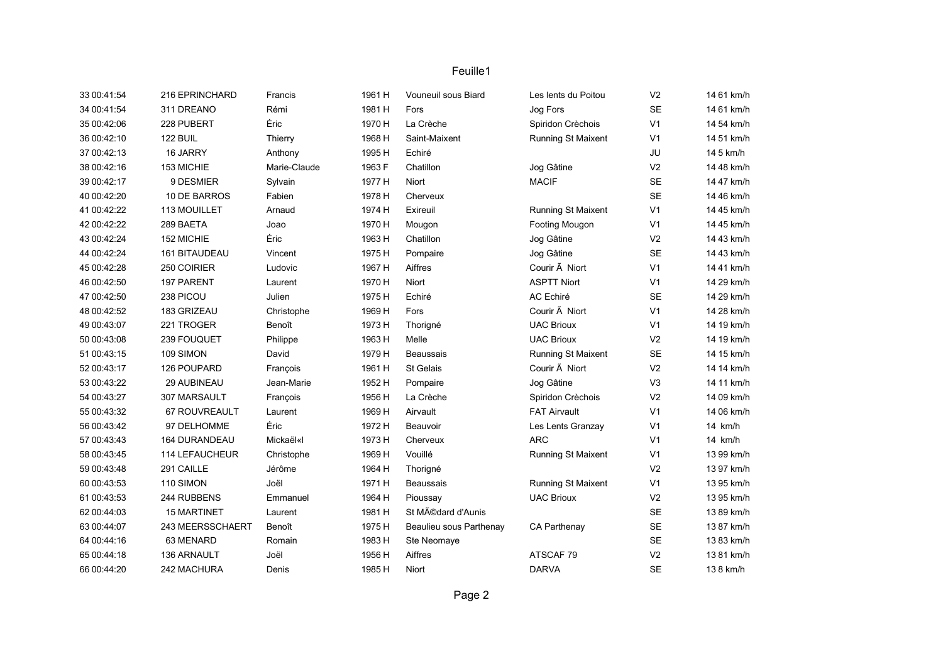| 33 00:41:54 | 216 EPRINCHARD       | Francis      | 1961 H | Vouneuil sous Biard     | Les lents du Poitou       | V <sub>2</sub> | 14 61 km/h |
|-------------|----------------------|--------------|--------|-------------------------|---------------------------|----------------|------------|
| 34 00:41:54 | 311 DREANO           | Rémi         | 1981 H | Fors                    | Jog Fors                  | <b>SE</b>      | 14 61 km/h |
| 35 00:42:06 | 228 PUBERT           | Éric         | 1970 H | La Crèche               | Spiridon Crèchois         | V <sub>1</sub> | 14 54 km/h |
| 36 00:42:10 | 122 BUIL             | Thierry      | 1968 H | Saint-Maixent           | Running St Maixent        | V <sub>1</sub> | 14 51 km/h |
| 37 00:42:13 | 16 JARRY             | Anthony      | 1995 H | Echiré                  |                           | JU             | 14 5 km/h  |
| 38 00:42:16 | 153 MICHIE           | Marie-Claude | 1963 F | Chatillon               | Jog Gâtine                | V <sub>2</sub> | 14 48 km/h |
| 39 00:42:17 | 9 DESMIER            | Sylvain      | 1977 H | Niort                   | <b>MACIF</b>              | <b>SE</b>      | 14 47 km/h |
| 40 00:42:20 | 10 DE BARROS         | Fabien       | 1978 H | Cherveux                |                           | <b>SE</b>      | 14 46 km/h |
| 41 00:42:22 | 113 MOUILLET         | Arnaud       | 1974 H | Exireuil                | <b>Running St Maixent</b> | V <sub>1</sub> | 14 45 km/h |
| 42 00:42:22 | 289 BAETA            | Joao         | 1970 H | Mougon                  | Footing Mougon            | V <sub>1</sub> | 14 45 km/h |
| 43 00:42:24 | 152 MICHIE           | Éric         | 1963 H | Chatillon               | Jog Gâtine                | V <sub>2</sub> | 14 43 km/h |
| 44 00:42:24 | 161 BITAUDEAU        | Vincent      | 1975 H | Pompaire                | Jog Gâtine                | <b>SE</b>      | 14 43 km/h |
| 45 00:42:28 | 250 COIRIER          | Ludovic      | 1967 H | Aiffres                 | Courir $\tilde{A}$ Niort  | V <sub>1</sub> | 14 41 km/h |
| 46 00:42:50 | 197 PARENT           | Laurent      | 1970 H | Niort                   | <b>ASPTT Niort</b>        | V <sub>1</sub> | 14 29 km/h |
| 47 00:42:50 | 238 PICOU            | Julien       | 1975 H | Echiré                  | AC Echiré                 | <b>SE</b>      | 14 29 km/h |
| 48 00:42:52 | 183 GRIZEAU          | Christophe   | 1969 H | Fors                    | Courir $\tilde{A}$ Niort  | V <sub>1</sub> | 14 28 km/h |
| 49 00:43:07 | 221 TROGER           | Benoît       | 1973 H | Thorigné                | <b>UAC Brioux</b>         | V <sub>1</sub> | 14 19 km/h |
| 50 00:43:08 | 239 FOUQUET          | Philippe     | 1963 H | Melle                   | <b>UAC Brioux</b>         | V <sub>2</sub> | 14 19 km/h |
| 51 00:43:15 | 109 SIMON            | David        | 1979 H | Beaussais               | <b>Running St Maixent</b> | <b>SE</b>      | 14 15 km/h |
| 52 00:43:17 | 126 POUPARD          | François     | 1961 H | St Gelais               | Courir $\tilde{A}$ Niort  | V <sub>2</sub> | 14 14 km/h |
| 53 00:43:22 | 29 AUBINEAU          | Jean-Marie   | 1952 H | Pompaire                | Jog Gâtine                | V <sub>3</sub> | 14 11 km/h |
| 54 00:43:27 | 307 MARSAULT         | François     | 1956 H | La Crèche               | Spiridon Crèchois         | V <sub>2</sub> | 14 09 km/h |
| 55 00:43:32 | 67 ROUVREAULT        | Laurent      | 1969 H | Airvault                | <b>FAT Airvault</b>       | V <sub>1</sub> | 14 06 km/h |
| 56 00:43:42 | 97 DELHOMME          | Éric         | 1972 H | Beauvoir                | Les Lents Granzay         | V <sub>1</sub> | 14 km/h    |
| 57 00:43:43 | <b>164 DURANDEAU</b> | Mickaël«I    | 1973 H | Cherveux                | <b>ARC</b>                | V <sub>1</sub> | 14 km/h    |
| 58 00:43:45 | 114 LEFAUCHEUR       | Christophe   | 1969 H | Vouillé                 | Running St Maixent        | V <sub>1</sub> | 13 99 km/h |
| 59 00:43:48 | 291 CAILLE           | Jérôme       | 1964 H | Thorigné                |                           | V <sub>2</sub> | 13 97 km/h |
| 60 00:43:53 | 110 SIMON            | Joël         | 1971 H | <b>Beaussais</b>        | Running St Maixent        | V <sub>1</sub> | 13 95 km/h |
| 61 00:43:53 | 244 RUBBENS          | Emmanuel     | 1964 H | Pioussay                | <b>UAC Brioux</b>         | V <sub>2</sub> | 13 95 km/h |
| 62 00:44:03 | <b>15 MARTINET</b>   | Laurent      | 1981 H | St Médard d'Aunis       |                           | <b>SE</b>      | 13 89 km/h |
| 63 00:44:07 | 243 MEERSSCHAERT     | Benoît       | 1975 H | Beaulieu sous Parthenay | CA Parthenay              | <b>SE</b>      | 13 87 km/h |
| 64 00:44:16 | 63 MENARD            | Romain       | 1983 H | Ste Neomaye             |                           | <b>SE</b>      | 13 83 km/h |
| 65 00:44:18 | 136 ARNAULT          | Joël         | 1956 H | Aiffres                 | ATSCAF 79                 | V <sub>2</sub> | 13 81 km/h |
| 66 00:44:20 | 242 MACHURA          | Denis        | 1985 H | Niort                   | <b>DARVA</b>              | <b>SE</b>      | 138 km/h   |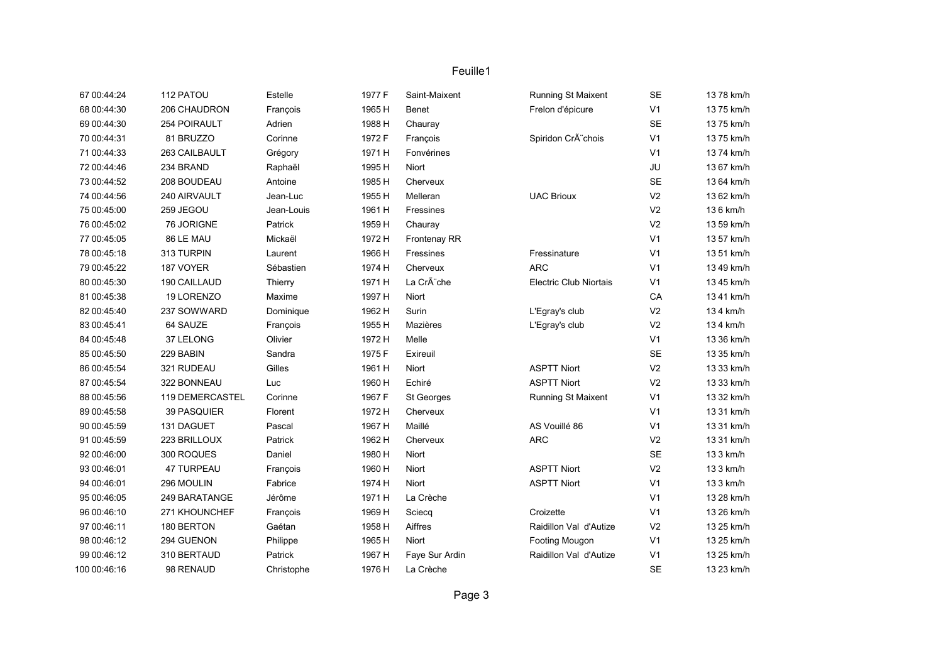| 67 00:44:24  | 112 PATOU           | Estelle    | 1977 F | Saint-Maixent       | Running St Maixent            | <b>SE</b>      | 13 78 km/h |
|--------------|---------------------|------------|--------|---------------------|-------------------------------|----------------|------------|
| 68 00:44:30  | 206 CHAUDRON        | François   | 1965 H | Benet               | Frelon d'épicure              | V <sub>1</sub> | 13 75 km/h |
| 69 00:44:30  | <b>254 POIRAULT</b> | Adrien     | 1988 H | Chauray             |                               | <b>SE</b>      | 13 75 km/h |
| 70 00:44:31  | 81 BRUZZO           | Corinne    | 1972 F | François            | Spiridon Crà chois            | V <sub>1</sub> | 13 75 km/h |
| 71 00:44:33  | 263 CAILBAULT       | Grégory    | 1971 H | Fonvérines          |                               | V <sub>1</sub> | 13 74 km/h |
| 72 00:44:46  | 234 BRAND           | Raphaël    | 1995 H | Niort               |                               | JU             | 13 67 km/h |
| 73 00:44:52  | 208 BOUDEAU         | Antoine    | 1985 H | Cherveux            |                               | <b>SE</b>      | 13 64 km/h |
| 74 00:44:56  | 240 AIRVAULT        | Jean-Luc   | 1955 H | Melleran            | <b>UAC Brioux</b>             | V <sub>2</sub> | 13 62 km/h |
| 75 00:45:00  | 259 JEGOU           | Jean-Louis | 1961 H | Fressines           |                               | V <sub>2</sub> | 136 km/h   |
| 76 00:45:02  | 76 JORIGNE          | Patrick    | 1959 H | Chauray             |                               | V <sub>2</sub> | 13 59 km/h |
| 77 00:45:05  | 86 LE MAU           | Mickaël    | 1972 H | <b>Frontenay RR</b> |                               | V <sub>1</sub> | 13 57 km/h |
| 78 00:45:18  | 313 TURPIN          | Laurent    | 1966 H | Fressines           | Fressinature                  | V <sub>1</sub> | 13 51 km/h |
| 79 00:45:22  | 187 VOYER           | Sébastien  | 1974 H | Cherveux            | <b>ARC</b>                    | V <sub>1</sub> | 13 49 km/h |
| 80 00:45:30  | 190 CAILLAUD        | Thierry    | 1971 H | La Crà che          | <b>Electric Club Niortais</b> | V <sub>1</sub> | 13 45 km/h |
| 81 00:45:38  | 19 LORENZO          | Maxime     | 1997 H | Niort               |                               | CA             | 13 41 km/h |
| 82 00:45:40  | 237 SOWWARD         | Dominique  | 1962 H | Surin               | L'Egray's club                | V <sub>2</sub> | 134 km/h   |
| 83 00:45:41  | 64 SAUZE            | François   | 1955 H | Mazières            | L'Egray's club                | V <sub>2</sub> | 134 km/h   |
| 84 00:45:48  | 37 LELONG           | Olivier    | 1972 H | Melle               |                               | V <sub>1</sub> | 13 36 km/h |
| 85 00:45:50  | 229 BABIN           | Sandra     | 1975 F | Exireuil            |                               | <b>SE</b>      | 13 35 km/h |
| 86 00:45:54  | 321 RUDEAU          | Gilles     | 1961 H | Niort               | <b>ASPTT Niort</b>            | V <sub>2</sub> | 13 33 km/h |
| 87 00:45:54  | 322 BONNEAU         | Luc        | 1960 H | Echiré              | <b>ASPTT Niort</b>            | V <sub>2</sub> | 13 33 km/h |
| 88 00:45:56  | 119 DEMERCASTEL     | Corinne    | 1967 F | St Georges          | Running St Maixent            | V <sub>1</sub> | 13 32 km/h |
| 89 00:45:58  | 39 PASQUIER         | Florent    | 1972 H | Cherveux            |                               | V <sub>1</sub> | 13 31 km/h |
| 90 00:45:59  | 131 DAGUET          | Pascal     | 1967 H | Maillé              | AS Vouillé 86                 | V <sub>1</sub> | 13 31 km/h |
| 91 00:45:59  | 223 BRILLOUX        | Patrick    | 1962 H | Cherveux            | <b>ARC</b>                    | V <sub>2</sub> | 13 31 km/h |
| 92 00:46:00  | 300 ROQUES          | Daniel     | 1980 H | Niort               |                               | <b>SE</b>      | 13 3 km/h  |
| 93 00:46:01  | 47 TURPEAU          | François   | 1960 H | Niort               | <b>ASPTT Niort</b>            | V <sub>2</sub> | 13 3 km/h  |
| 94 00:46:01  | 296 MOULIN          | Fabrice    | 1974 H | <b>Niort</b>        | <b>ASPTT Niort</b>            | V <sub>1</sub> | 13 3 km/h  |
| 95 00:46:05  | 249 BARATANGE       | Jérôme     | 1971 H | La Crèche           |                               | V <sub>1</sub> | 13 28 km/h |
| 96 00:46:10  | 271 KHOUNCHEF       | François   | 1969 H | Sciecq              | Croizette                     | V <sub>1</sub> | 13 26 km/h |
| 97 00:46:11  | 180 BERTON          | Gaétan     | 1958 H | Aiffres             | Raidillon Val d'Autize        | V <sub>2</sub> | 13 25 km/h |
| 98 00:46:12  | 294 GUENON          | Philippe   | 1965 H | Niort               | Footing Mougon                | V <sub>1</sub> | 13 25 km/h |
| 99 00:46:12  | 310 BERTAUD         | Patrick    | 1967 H | Faye Sur Ardin      | Raidillon Val d'Autize        | V <sub>1</sub> | 13 25 km/h |
| 100 00:46:16 | 98 RENAUD           | Christophe | 1976 H | La Crèche           |                               | <b>SE</b>      | 13 23 km/h |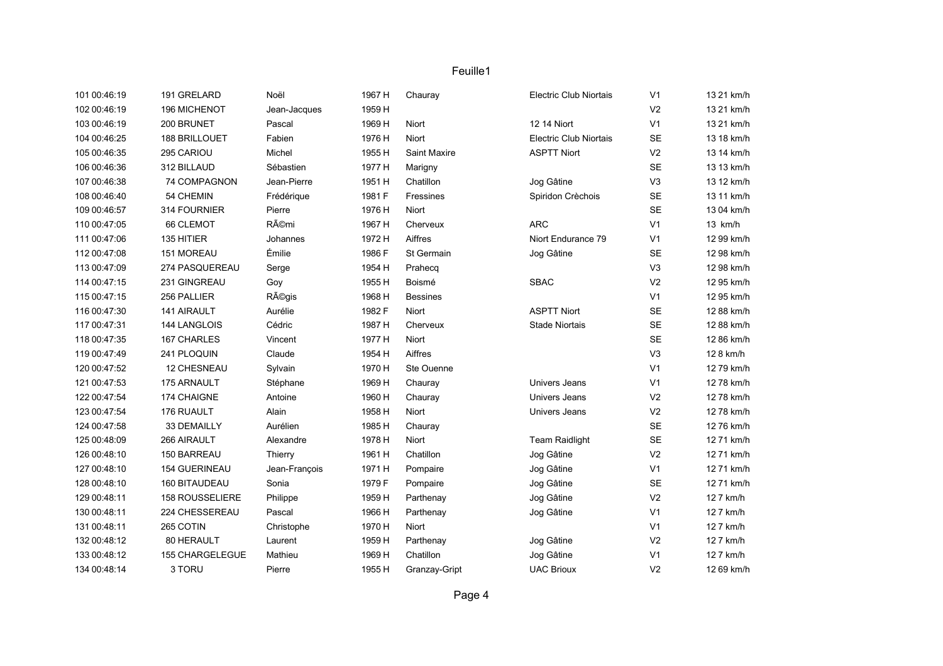| 101 00:46:19 | 191 GRELARD     | Noël          | 1967 H | Chauray         | <b>Electric Club Niortais</b> | V <sub>1</sub> | 13 21 km/h |
|--------------|-----------------|---------------|--------|-----------------|-------------------------------|----------------|------------|
| 102 00:46:19 | 196 MICHENOT    | Jean-Jacques  | 1959 H |                 |                               | V <sub>2</sub> | 13 21 km/h |
| 103 00:46:19 | 200 BRUNET      | Pascal        | 1969 H | Niort           | 12 14 Niort                   | V <sub>1</sub> | 13 21 km/h |
| 104 00:46:25 | 188 BRILLOUET   | Fabien        | 1976 H | Niort           | <b>Electric Club Niortais</b> | SE             | 13 18 km/h |
| 105 00:46:35 | 295 CARIOU      | Michel        | 1955 H | Saint Maxire    | <b>ASPTT Niort</b>            | V <sub>2</sub> | 13 14 km/h |
| 106 00:46:36 | 312 BILLAUD     | Sébastien     | 1977 H | Marigny         |                               | <b>SE</b>      | 13 13 km/h |
| 107 00:46:38 | 74 COMPAGNON    | Jean-Pierre   | 1951 H | Chatillon       | Jog Gâtine                    | V <sub>3</sub> | 13 12 km/h |
| 108 00:46:40 | 54 CHEMIN       | Frédérique    | 1981 F | Fressines       | Spiridon Crèchois             | <b>SE</b>      | 13 11 km/h |
| 109 00:46:57 | 314 FOURNIER    | Pierre        | 1976 H | Niort           |                               | <b>SE</b>      | 13 04 km/h |
| 110 00:47:05 | 66 CLEMOT       | Rémi          | 1967 H | Cherveux        | <b>ARC</b>                    | V <sub>1</sub> | 13 km/h    |
| 111 00:47:06 | 135 HITIER      | Johannes      | 1972 H | Aiffres         | Niort Endurance 79            | V <sub>1</sub> | 12 99 km/h |
| 112 00:47:08 | 151 MOREAU      | Émilie        | 1986 F | St Germain      | Jog Gâtine                    | SE             | 12 98 km/h |
| 113 00:47:09 | 274 PASQUEREAU  | Serge         | 1954 H | Prahecq         |                               | V <sub>3</sub> | 12 98 km/h |
| 114 00:47:15 | 231 GINGREAU    | Goy           | 1955 H | Boismé          | <b>SBAC</b>                   | V <sub>2</sub> | 12 95 km/h |
| 115 00:47:15 | 256 PALLIER     | Régis         | 1968 H | <b>Bessines</b> |                               | V <sub>1</sub> | 12 95 km/h |
| 116 00:47:30 | 141 AIRAULT     | Aurélie       | 1982 F | Niort           | <b>ASPTT Niort</b>            | SE             | 12 88 km/h |
| 117 00:47:31 | 144 LANGLOIS    | Cédric        | 1987 H | Cherveux        | <b>Stade Niortais</b>         | SE             | 12 88 km/h |
| 118 00:47:35 | 167 CHARLES     | Vincent       | 1977 H | Niort           |                               | <b>SE</b>      | 12 86 km/h |
| 119 00:47:49 | 241 PLOQUIN     | Claude        | 1954 H | Aiffres         |                               | V <sub>3</sub> | 12 8 km/h  |
| 120 00:47:52 | 12 CHESNEAU     | Sylvain       | 1970 H | Ste Ouenne      |                               | V <sub>1</sub> | 12 79 km/h |
| 121 00:47:53 | 175 ARNAULT     | Stéphane      | 1969 H | Chauray         | Univers Jeans                 | V <sub>1</sub> | 12 78 km/h |
| 122 00:47:54 | 174 CHAIGNE     | Antoine       | 1960 H | Chauray         | Univers Jeans                 | V <sub>2</sub> | 12 78 km/h |
| 123 00:47:54 | 176 RUAULT      | Alain         | 1958 H | Niort           | Univers Jeans                 | V <sub>2</sub> | 12 78 km/h |
| 124 00:47:58 | 33 DEMAILLY     | Aurélien      | 1985 H | Chauray         |                               | <b>SE</b>      | 12 76 km/h |
| 125 00:48:09 | 266 AIRAULT     | Alexandre     | 1978 H | Niort           | <b>Team Raidlight</b>         | SE             | 12 71 km/h |
| 126 00:48:10 | 150 BARREAU     | Thierry       | 1961 H | Chatillon       | Jog Gâtine                    | V <sub>2</sub> | 12 71 km/h |
| 127 00:48:10 | 154 GUERINEAU   | Jean-François | 1971 H | Pompaire        | Jog Gâtine                    | V <sub>1</sub> | 12 71 km/h |
| 128 00:48:10 | 160 BITAUDEAU   | Sonia         | 1979 F | Pompaire        | Jog Gâtine                    | <b>SE</b>      | 12 71 km/h |
| 129 00:48:11 | 158 ROUSSELIERE | Philippe      | 1959 H | Parthenay       | Jog Gâtine                    | V <sub>2</sub> | 12 7 km/h  |
| 130 00:48:11 | 224 CHESSEREAU  | Pascal        | 1966 H | Parthenay       | Jog Gâtine                    | V <sub>1</sub> | 12 7 km/h  |
| 131 00:48:11 | 265 COTIN       | Christophe    | 1970 H | Niort           |                               | V <sub>1</sub> | 12 7 km/h  |
| 132 00:48:12 | 80 HERAULT      | Laurent       | 1959 H | Parthenay       | Jog Gâtine                    | V <sub>2</sub> | 12 7 km/h  |
| 133 00:48:12 | 155 CHARGELEGUE | Mathieu       | 1969 H | Chatillon       | Jog Gâtine                    | V <sub>1</sub> | 12 7 km/h  |
| 134 00:48:14 | 3 TORU          | Pierre        | 1955 H | Granzay-Gript   | <b>UAC Brioux</b>             | V <sub>2</sub> | 12 69 km/h |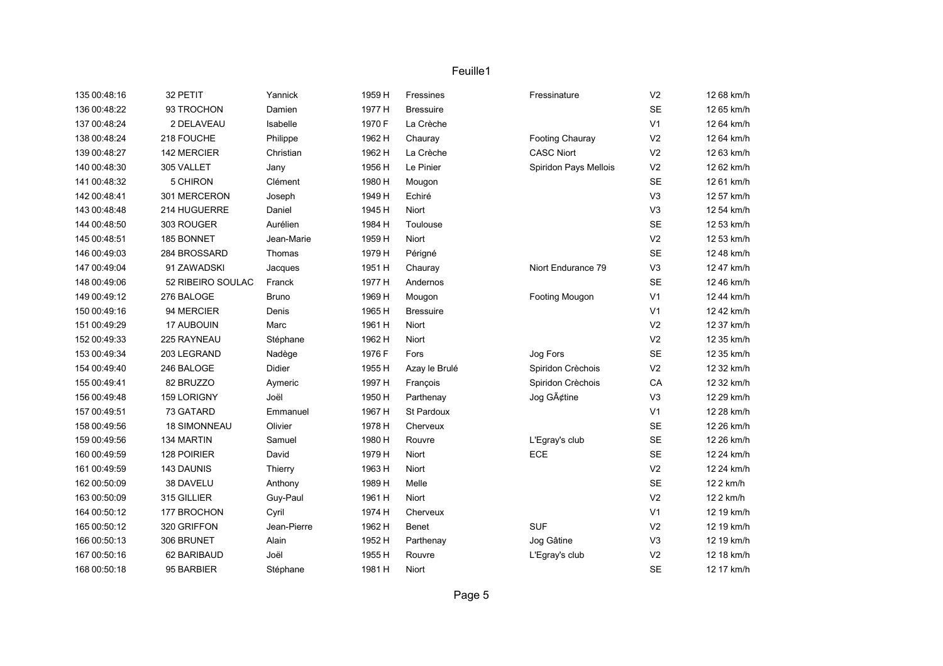| 135 00:48:16 | 32 PETIT            | Yannick      | 1959 H | Fressines        | Fressinature          | V <sub>2</sub> | 12 68 km/h |
|--------------|---------------------|--------------|--------|------------------|-----------------------|----------------|------------|
| 136 00:48:22 | 93 TROCHON          | Damien       | 1977 H | <b>Bressuire</b> |                       | <b>SE</b>      | 12 65 km/h |
| 137 00:48:24 | 2 DELAVEAU          | Isabelle     | 1970 F | La Crèche        |                       | V <sub>1</sub> | 12 64 km/h |
| 138 00:48:24 | 218 FOUCHE          | Philippe     | 1962 H | Chauray          | Footing Chauray       | V <sub>2</sub> | 12 64 km/h |
| 139 00:48:27 | 142 MERCIER         | Christian    | 1962 H | La Crèche        | <b>CASC Niort</b>     | V <sub>2</sub> | 12 63 km/h |
| 140 00:48:30 | 305 VALLET          | Jany         | 1956 H | Le Pinier        | Spiridon Pays Mellois | V <sub>2</sub> | 12 62 km/h |
| 141 00:48:32 | 5 CHIRON            | Clément      | 1980 H | Mougon           |                       | <b>SE</b>      | 12 61 km/h |
| 142 00:48:41 | 301 MERCERON        | Joseph       | 1949 H | Echiré           |                       | V3             | 12 57 km/h |
| 143 00:48:48 | 214 HUGUERRE        | Daniel       | 1945 H | <b>Niort</b>     |                       | V3             | 12 54 km/h |
| 144 00:48:50 | 303 ROUGER          | Aurélien     | 1984 H | Toulouse         |                       | <b>SE</b>      | 12 53 km/h |
| 145 00:48:51 | 185 BONNET          | Jean-Marie   | 1959 H | Niort            |                       | V <sub>2</sub> | 12 53 km/h |
| 146 00:49:03 | 284 BROSSARD        | Thomas       | 1979 H | Périgné          |                       | <b>SE</b>      | 12 48 km/h |
| 147 00:49:04 | 91 ZAWADSKI         | Jacques      | 1951 H | Chauray          | Niort Endurance 79    | V <sub>3</sub> | 12 47 km/h |
| 148 00:49:06 | 52 RIBEIRO SOULAC   | Franck       | 1977 H | Andernos         |                       | SE             | 12 46 km/h |
| 149 00:49:12 | 276 BALOGE          | <b>Bruno</b> | 1969 H | Mougon           | Footing Mougon        | V <sub>1</sub> | 12 44 km/h |
| 150 00:49:16 | 94 MERCIER          | Denis        | 1965 H | <b>Bressuire</b> |                       | V <sub>1</sub> | 12 42 km/h |
| 151 00:49:29 | 17 AUBOUIN          | Marc         | 1961 H | Niort            |                       | V <sub>2</sub> | 12 37 km/h |
| 152 00:49:33 | 225 RAYNEAU         | Stéphane     | 1962 H | Niort            |                       | V <sub>2</sub> | 12 35 km/h |
| 153 00:49:34 | 203 LEGRAND         | Nadège       | 1976 F | Fors             | Jog Fors              | SE             | 12 35 km/h |
| 154 00:49:40 | 246 BALOGE          | Didier       | 1955 H | Azay le Brulé    | Spiridon Crèchois     | V <sub>2</sub> | 12 32 km/h |
| 155 00:49:41 | 82 BRUZZO           | Aymeric      | 1997 H | François         | Spiridon Crèchois     | CA             | 12 32 km/h |
| 156 00:49:48 | 159 LORIGNY         | Joël         | 1950 H | Parthenay        | Jog Gâtine            | V <sub>3</sub> | 12 29 km/h |
| 157 00:49:51 | 73 GATARD           | Emmanuel     | 1967 H | St Pardoux       |                       | V <sub>1</sub> | 12 28 km/h |
| 158 00:49:56 | <b>18 SIMONNEAU</b> | Olivier      | 1978 H | Cherveux         |                       | <b>SE</b>      | 12 26 km/h |
| 159 00:49:56 | 134 MARTIN          | Samuel       | 1980 H | Rouvre           | L'Egray's club        | SE             | 12 26 km/h |
| 160 00:49:59 | 128 POIRIER         | David        | 1979 H | Niort            | ECE                   | <b>SE</b>      | 12 24 km/h |
| 161 00:49:59 | 143 DAUNIS          | Thierry      | 1963 H | Niort            |                       | V <sub>2</sub> | 12 24 km/h |
| 162 00:50:09 | 38 DAVELU           | Anthony      | 1989 H | Melle            |                       | <b>SE</b>      | 12 2 km/h  |
| 163 00:50:09 | 315 GILLIER         | Guy-Paul     | 1961 H | <b>Niort</b>     |                       | V <sub>2</sub> | 12 2 km/h  |
| 164 00:50:12 | 177 BROCHON         | Cyril        | 1974 H | Cherveux         |                       | V <sub>1</sub> | 12 19 km/h |
| 165 00:50:12 | 320 GRIFFON         | Jean-Pierre  | 1962 H | Benet            | <b>SUF</b>            | V <sub>2</sub> | 12 19 km/h |
| 166 00:50:13 | 306 BRUNET          | Alain        | 1952 H | Parthenay        | Jog Gâtine            | V <sub>3</sub> | 12 19 km/h |
| 167 00:50:16 | 62 BARIBAUD         | Joël         | 1955 H | Rouvre           | L'Egray's club        | V <sub>2</sub> | 12 18 km/h |
| 168 00:50:18 | 95 BARBIER          | Stéphane     | 1981 H | <b>Niort</b>     |                       | <b>SE</b>      | 12 17 km/h |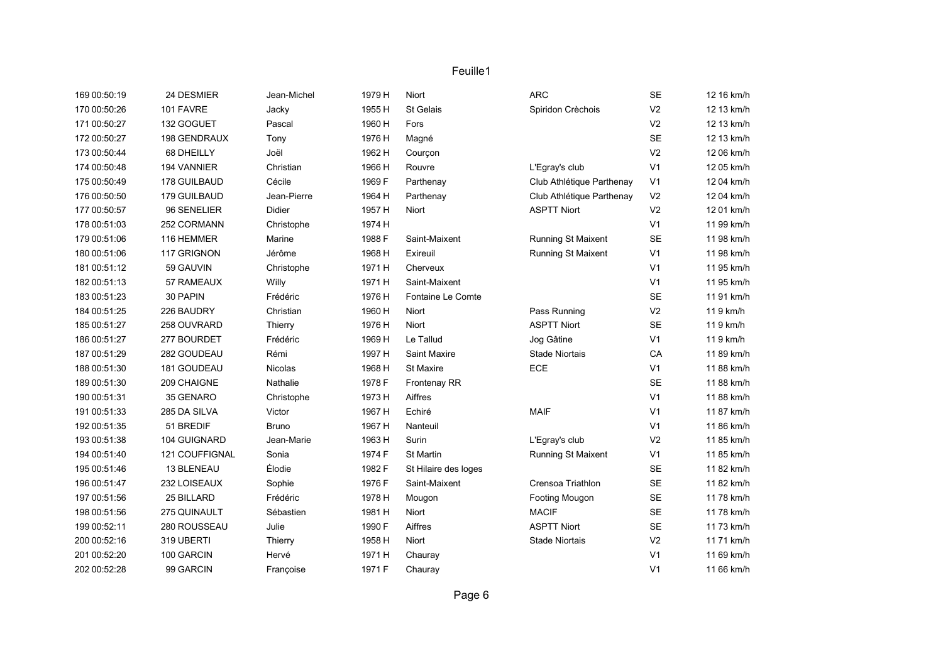| 169 00:50:19 | 24 DESMIER     | Jean-Michel  | 1979 H | Niort                | <b>ARC</b>                | <b>SE</b>      | 12 16 km/h |
|--------------|----------------|--------------|--------|----------------------|---------------------------|----------------|------------|
| 170 00:50:26 | 101 FAVRE      | Jacky        | 1955 H | St Gelais            | Spiridon Crèchois         | V <sub>2</sub> | 12 13 km/h |
| 171 00:50:27 | 132 GOGUET     | Pascal       | 1960 H | Fors                 |                           | V <sub>2</sub> | 12 13 km/h |
| 172 00:50:27 | 198 GENDRAUX   | Tony         | 1976 H | Magné                |                           | <b>SE</b>      | 12 13 km/h |
| 173 00:50:44 | 68 DHEILLY     | Joël         | 1962 H | Courçon              |                           | V <sub>2</sub> | 12 06 km/h |
| 174 00:50:48 | 194 VANNIER    | Christian    | 1966 H | Rouvre               | L'Egray's club            | V <sub>1</sub> | 12 05 km/h |
| 175 00:50:49 | 178 GUILBAUD   | Cécile       | 1969 F | Parthenay            | Club Athlétique Parthenay | V <sub>1</sub> | 12 04 km/h |
| 176 00:50:50 | 179 GUILBAUD   | Jean-Pierre  | 1964 H | Parthenay            | Club Athlétique Parthenay | V <sub>2</sub> | 12 04 km/h |
| 177 00:50:57 | 96 SENELIER    | Didier       | 1957 H | Niort                | <b>ASPTT Niort</b>        | V <sub>2</sub> | 12 01 km/h |
| 178 00:51:03 | 252 CORMANN    | Christophe   | 1974 H |                      |                           | V <sub>1</sub> | 11 99 km/h |
| 179 00:51:06 | 116 HEMMER     | Marine       | 1988 F | Saint-Maixent        | Running St Maixent        | <b>SE</b>      | 11 98 km/h |
| 180 00:51:06 | 117 GRIGNON    | Jérôme       | 1968 H | Exireuil             | Running St Maixent        | V <sub>1</sub> | 11 98 km/h |
| 181 00:51:12 | 59 GAUVIN      | Christophe   | 1971 H | Cherveux             |                           | V <sub>1</sub> | 11 95 km/h |
| 182 00:51:13 | 57 RAMEAUX     | Willy        | 1971 H | Saint-Maixent        |                           | V <sub>1</sub> | 11 95 km/h |
| 183 00:51:23 | 30 PAPIN       | Frédéric     | 1976 H | Fontaine Le Comte    |                           | <b>SE</b>      | 11 91 km/h |
| 184 00:51:25 | 226 BAUDRY     | Christian    | 1960 H | Niort                | Pass Running              | V <sub>2</sub> | 119 km/h   |
| 185 00:51:27 | 258 OUVRARD    | Thierry      | 1976 H | <b>Niort</b>         | <b>ASPTT Niort</b>        | <b>SE</b>      | 119 km/h   |
| 186 00:51:27 | 277 BOURDET    | Frédéric     | 1969 H | Le Tallud            | Jog Gâtine                | V <sub>1</sub> | 119 km/h   |
| 187 00:51:29 | 282 GOUDEAU    | Rémi         | 1997 H | Saint Maxire         | <b>Stade Niortais</b>     | CA             | 11 89 km/h |
| 188 00:51:30 | 181 GOUDEAU    | Nicolas      | 1968 H | St Maxire            | ECE                       | V <sub>1</sub> | 11 88 km/h |
| 189 00:51:30 | 209 CHAIGNE    | Nathalie     | 1978 F | Frontenay RR         |                           | <b>SE</b>      | 11 88 km/h |
| 190 00:51:31 | 35 GENARO      | Christophe   | 1973 H | Aiffres              |                           | V <sub>1</sub> | 11 88 km/h |
| 191 00:51:33 | 285 DA SILVA   | Victor       | 1967 H | Echiré               | <b>MAIF</b>               | V <sub>1</sub> | 11 87 km/h |
| 192 00:51:35 | 51 BREDIF      | <b>Bruno</b> | 1967 H | Nanteuil             |                           | V <sub>1</sub> | 11 86 km/h |
| 193 00:51:38 | 104 GUIGNARD   | Jean-Marie   | 1963 H | Surin                | L'Egray's club            | V <sub>2</sub> | 11 85 km/h |
| 194 00:51:40 | 121 COUFFIGNAL | Sonia        | 1974 F | St Martin            | Running St Maixent        | V <sub>1</sub> | 11 85 km/h |
| 195 00:51:46 | 13 BLENEAU     | Élodie       | 1982 F | St Hilaire des loges |                           | <b>SE</b>      | 11 82 km/h |
| 196 00:51:47 | 232 LOISEAUX   | Sophie       | 1976 F | Saint-Maixent        | Crensoa Triathlon         | <b>SE</b>      | 11 82 km/h |
| 197 00:51:56 | 25 BILLARD     | Frédéric     | 1978 H | Mougon               | Footing Mougon            | <b>SE</b>      | 1178 km/h  |
| 198 00:51:56 | 275 QUINAULT   | Sébastien    | 1981 H | Niort                | <b>MACIF</b>              | <b>SE</b>      | 1178 km/h  |
| 199 00:52:11 | 280 ROUSSEAU   | Julie        | 1990 F | Aiffres              | <b>ASPTT Niort</b>        | <b>SE</b>      | 11 73 km/h |
| 200 00:52:16 | 319 UBERTI     | Thierry      | 1958 H | Niort                | <b>Stade Niortais</b>     | V <sub>2</sub> | 11 71 km/h |
| 201 00:52:20 | 100 GARCIN     | Hervé        | 1971 H | Chauray              |                           | V <sub>1</sub> | 11 69 km/h |
| 202 00:52:28 | 99 GARCIN      | Françoise    | 1971 F | Chauray              |                           | V <sub>1</sub> | 11 66 km/h |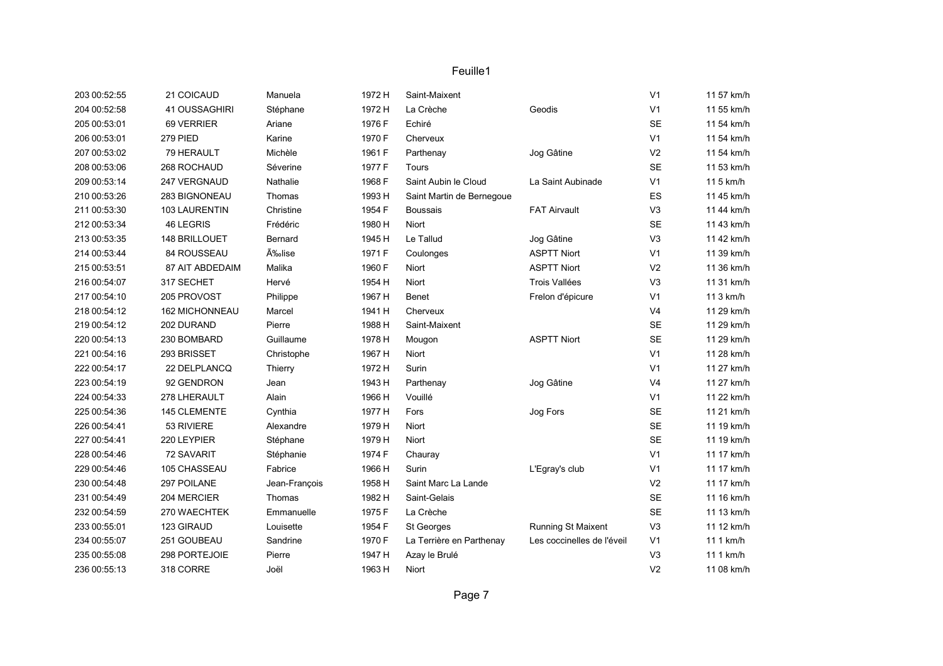| 203 00:52:55 | 21 COICAUD      | Manuela       | 1972 H | Saint-Maixent             |                            | V <sub>1</sub> | 11 57 km/h |
|--------------|-----------------|---------------|--------|---------------------------|----------------------------|----------------|------------|
| 204 00:52:58 | 41 OUSSAGHIRI   | Stéphane      | 1972 H | La Crèche                 | Geodis                     | V <sub>1</sub> | 11 55 km/h |
| 205 00:53:01 | 69 VERRIER      | Ariane        | 1976 F | Echiré                    |                            | <b>SE</b>      | 11 54 km/h |
| 206 00:53:01 | 279 PIED        | Karine        | 1970 F | Cherveux                  |                            | V <sub>1</sub> | 11 54 km/h |
| 207 00:53:02 | 79 HERAULT      | Michèle       | 1961 F | Parthenay                 | Jog Gâtine                 | V <sub>2</sub> | 11 54 km/h |
| 208 00:53:06 | 268 ROCHAUD     | Séverine      | 1977 F | Tours                     |                            | <b>SE</b>      | 11 53 km/h |
| 209 00:53:14 | 247 VERGNAUD    | Nathalie      | 1968 F | Saint Aubin le Cloud      | La Saint Aubinade          | V <sub>1</sub> | 11 5 km/h  |
| 210 00:53:26 | 283 BIGNONEAU   | Thomas        | 1993 H | Saint Martin de Bernegoue |                            | ES             | 11 45 km/h |
| 211 00:53:30 | 103 LAURENTIN   | Christine     | 1954 F | <b>Boussais</b>           | <b>FAT Airvault</b>        | V <sub>3</sub> | 11 44 km/h |
| 212 00:53:34 | 46 LEGRIS       | Frédéric      | 1980 H | Niort                     |                            | <b>SE</b>      | 11 43 km/h |
| 213 00:53:35 | 148 BRILLOUET   | Bernard       | 1945 H | Le Tallud                 | Jog Gâtine                 | V3             | 11 42 km/h |
| 214 00:53:44 | 84 ROUSSEAU     | Élise         | 1971 F | Coulonges                 | <b>ASPTT Niort</b>         | V <sub>1</sub> | 11 39 km/h |
| 215 00:53:51 | 87 AIT ABDEDAIM | Malika        | 1960 F | Niort                     | <b>ASPTT Niort</b>         | V <sub>2</sub> | 11 36 km/h |
| 216 00:54:07 | 317 SECHET      | Hervé         | 1954 H | <b>Niort</b>              | Trois Vallées              | V <sub>3</sub> | 11 31 km/h |
| 217 00:54:10 | 205 PROVOST     | Philippe      | 1967 H | Benet                     | Frelon d'épicure           | V <sub>1</sub> | 11 3 km/h  |
| 218 00:54:12 | 162 MICHONNEAU  | Marcel        | 1941 H | Cherveux                  |                            | V <sub>4</sub> | 11 29 km/h |
| 219 00:54:12 | 202 DURAND      | Pierre        | 1988 H | Saint-Maixent             |                            | <b>SE</b>      | 11 29 km/h |
| 220 00:54:13 | 230 BOMBARD     | Guillaume     | 1978 H | Mougon                    | <b>ASPTT Niort</b>         | <b>SE</b>      | 11 29 km/h |
| 221 00:54:16 | 293 BRISSET     | Christophe    | 1967 H | Niort                     |                            | V <sub>1</sub> | 11 28 km/h |
| 222 00:54:17 | 22 DELPLANCQ    | Thierry       | 1972 H | Surin                     |                            | V <sub>1</sub> | 11 27 km/h |
| 223 00:54:19 | 92 GENDRON      | Jean          | 1943 H | Parthenay                 | Jog Gâtine                 | V <sub>4</sub> | 11 27 km/h |
| 224 00:54:33 | 278 LHERAULT    | Alain         | 1966 H | Vouillé                   |                            | V <sub>1</sub> | 11 22 km/h |
| 225 00:54:36 | 145 CLEMENTE    | Cynthia       | 1977 H | Fors                      | Jog Fors                   | <b>SE</b>      | 11 21 km/h |
| 226 00:54:41 | 53 RIVIERE      | Alexandre     | 1979 H | Niort                     |                            | <b>SE</b>      | 11 19 km/h |
| 227 00:54:41 | 220 LEYPIER     | Stéphane      | 1979 H | Niort                     |                            | <b>SE</b>      | 11 19 km/h |
| 228 00:54:46 | 72 SAVARIT      | Stéphanie     | 1974 F | Chauray                   |                            | V <sub>1</sub> | 11 17 km/h |
| 229 00:54:46 | 105 CHASSEAU    | Fabrice       | 1966 H | Surin                     | L'Egray's club             | V <sub>1</sub> | 11 17 km/h |
| 230 00:54:48 | 297 POILANE     | Jean-François | 1958 H | Saint Marc La Lande       |                            | V <sub>2</sub> | 11 17 km/h |
| 231 00:54:49 | 204 MERCIER     | Thomas        | 1982 H | Saint-Gelais              |                            | <b>SE</b>      | 11 16 km/h |
| 232 00:54:59 | 270 WAECHTEK    | Emmanuelle    | 1975 F | La Crèche                 |                            | <b>SE</b>      | 11 13 km/h |
| 233 00:55:01 | 123 GIRAUD      | Louisette     | 1954 F | St Georges                | Running St Maixent         | V <sub>3</sub> | 11 12 km/h |
| 234 00:55:07 | 251 GOUBEAU     | Sandrine      | 1970 F | La Terrière en Parthenay  | Les coccinelles de l'éveil | V <sub>1</sub> | 11 1 km/h  |
| 235 00:55:08 | 298 PORTEJOIE   | Pierre        | 1947 H | Azay le Brulé             |                            | V <sub>3</sub> | 11 1 km/h  |
| 236 00:55:13 | 318 CORRE       | Joël          | 1963 H | Niort                     |                            | V <sub>2</sub> | 11 08 km/h |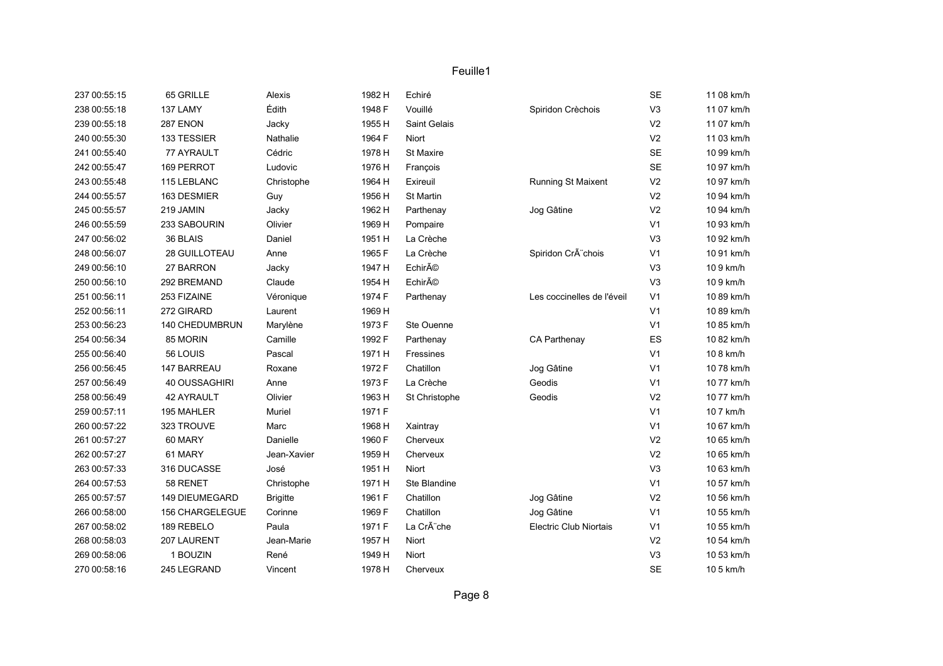| 237 00:55:15 | 65 GRILLE       | Alexis          | 1982 H | Echiré           |                            | SE             | 11 08 km/h |
|--------------|-----------------|-----------------|--------|------------------|----------------------------|----------------|------------|
| 238 00:55:18 | 137 LAMY        | Édith           | 1948 F | Vouillé          | Spiridon Crèchois          | V <sub>3</sub> | 11 07 km/h |
| 239 00:55:18 | 287 ENON        | Jacky           | 1955 H | Saint Gelais     |                            | V <sub>2</sub> | 11 07 km/h |
| 240 00:55:30 | 133 TESSIER     | Nathalie        | 1964 F | Niort            |                            | V <sub>2</sub> | 11 03 km/h |
| 241 00:55:40 | 77 AYRAULT      | Cédric          | 1978 H | <b>St Maxire</b> |                            | <b>SE</b>      | 10 99 km/h |
| 242 00:55:47 | 169 PERROT      | Ludovic         | 1976 H | François         |                            | SE             | 10 97 km/h |
| 243 00:55:48 | 115 LEBLANC     | Christophe      | 1964 H | Exireuil         | Running St Maixent         | V <sub>2</sub> | 10 97 km/h |
| 244 00:55:57 | 163 DESMIER     | Guy             | 1956 H | St Martin        |                            | V <sub>2</sub> | 10 94 km/h |
| 245 00:55:57 | 219 JAMIN       | Jacky           | 1962 H | Parthenay        | Jog Gâtine                 | V <sub>2</sub> | 10 94 km/h |
| 246 00:55:59 | 233 SABOURIN    | Olivier         | 1969 H | Pompaire         |                            | V <sub>1</sub> | 10 93 km/h |
| 247 00:56:02 | 36 BLAIS        | Daniel          | 1951 H | La Crèche        |                            | V <sub>3</sub> | 10 92 km/h |
| 248 00:56:07 | 28 GUILLOTEAU   | Anne            | 1965 F | La Crèche        | Spiridon CrÃ"chois         | V <sub>1</sub> | 10 91 km/h |
| 249 00:56:10 | 27 BARRON       | Jacky           | 1947 H | Echiré           |                            | V <sub>3</sub> | 109 km/h   |
| 250 00:56:10 | 292 BREMAND     | Claude          | 1954 H | Echiré           |                            | V <sub>3</sub> | 109 km/h   |
| 251 00:56:11 | 253 FIZAINE     | Véronique       | 1974 F | Parthenay        | Les coccinelles de l'éveil | V <sub>1</sub> | 10 89 km/h |
| 252 00:56:11 | 272 GIRARD      | Laurent         | 1969 H |                  |                            | V <sub>1</sub> | 10 89 km/h |
| 253 00:56:23 | 140 CHEDUMBRUN  | Marylène        | 1973 F | Ste Ouenne       |                            | V <sub>1</sub> | 10 85 km/h |
| 254 00:56:34 | 85 MORIN        | Camille         | 1992 F | Parthenay        | CA Parthenay               | ES             | 10 82 km/h |
| 255 00:56:40 | 56 LOUIS        | Pascal          | 1971 H | Fressines        |                            | V <sub>1</sub> | 10 8 km/h  |
| 256 00:56:45 | 147 BARREAU     | Roxane          | 1972 F | Chatillon        | Jog Gâtine                 | V <sub>1</sub> | 10 78 km/h |
| 257 00:56:49 | 40 OUSSAGHIRI   | Anne            | 1973 F | La Crèche        | Geodis                     | V <sub>1</sub> | 10 77 km/h |
| 258 00:56:49 | 42 AYRAULT      | Olivier         | 1963 H | St Christophe    | Geodis                     | V <sub>2</sub> | 10 77 km/h |
| 259 00:57:11 | 195 MAHLER      | Muriel          | 1971 F |                  |                            | V <sub>1</sub> | 10 7 km/h  |
| 260 00:57:22 | 323 TROUVE      | Marc            | 1968 H | Xaintray         |                            | V <sub>1</sub> | 10 67 km/h |
| 261 00:57:27 | 60 MARY         | Danielle        | 1960 F | Cherveux         |                            | V <sub>2</sub> | 10 65 km/h |
| 262 00:57:27 | 61 MARY         | Jean-Xavier     | 1959 H | Cherveux         |                            | V <sub>2</sub> | 10 65 km/h |
| 263 00:57:33 | 316 DUCASSE     | José            | 1951 H | Niort            |                            | V <sub>3</sub> | 10 63 km/h |
| 264 00:57:53 | 58 RENET        | Christophe      | 1971 H | Ste Blandine     |                            | V <sub>1</sub> | 10 57 km/h |
| 265 00:57:57 | 149 DIEUMEGARD  | <b>Brigitte</b> | 1961 F | Chatillon        | Jog Gâtine                 | V <sub>2</sub> | 10 56 km/h |
| 266 00:58:00 | 156 CHARGELEGUE | Corinne         | 1969 F | Chatillon        | Jog Gâtine                 | V <sub>1</sub> | 10 55 km/h |
| 267 00:58:02 | 189 REBELO      | Paula           | 1971 F | La Crà che       | Electric Club Niortais     | V <sub>1</sub> | 10 55 km/h |
| 268 00:58:03 | 207 LAURENT     | Jean-Marie      | 1957 H | Niort            |                            | V <sub>2</sub> | 10 54 km/h |
| 269 00:58:06 | 1 BOUZIN        | René            | 1949 H | Niort            |                            | V <sub>3</sub> | 10 53 km/h |
| 270 00:58:16 | 245 LEGRAND     | Vincent         | 1978 H | Cherveux         |                            | SE             | 10 5 km/h  |
|              |                 |                 |        |                  |                            |                |            |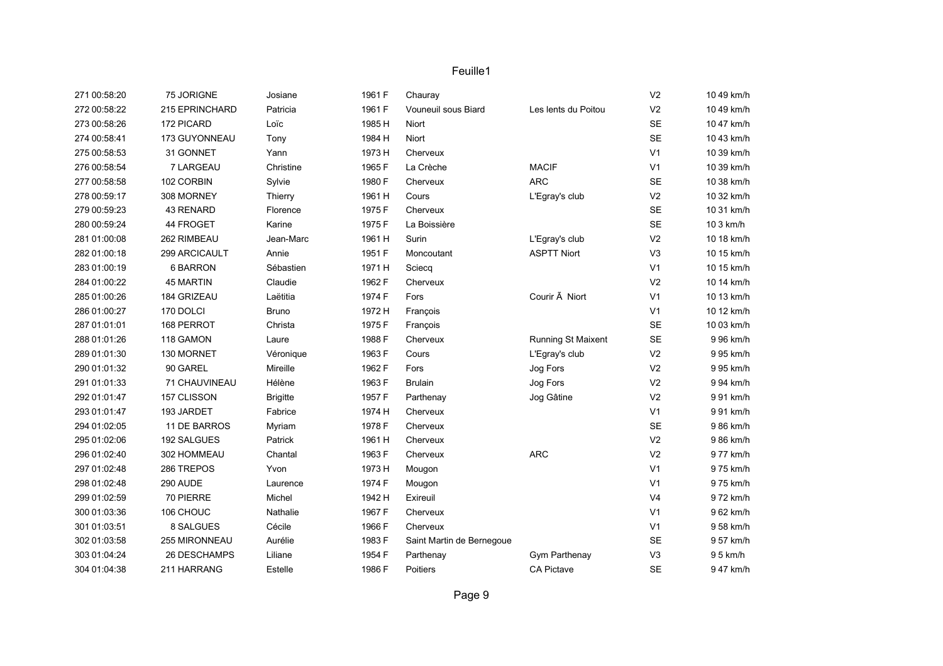| 271 00:58:20 | 75 JORIGNE     | Josiane         | 1961 F | Chauray                   |                          | V <sub>2</sub> | 10 49 km/h |
|--------------|----------------|-----------------|--------|---------------------------|--------------------------|----------------|------------|
| 272 00:58:22 | 215 EPRINCHARD | Patricia        | 1961 F | Vouneuil sous Biard       | Les lents du Poitou      | V <sub>2</sub> | 10 49 km/h |
| 273 00:58:26 | 172 PICARD     | Loïc            | 1985 H | Niort                     |                          | <b>SE</b>      | 10 47 km/h |
| 274 00:58:41 | 173 GUYONNEAU  | Tony            | 1984 H | Niort                     |                          | <b>SE</b>      | 10 43 km/h |
| 275 00:58:53 | 31 GONNET      | Yann            | 1973 H | Cherveux                  |                          | V <sub>1</sub> | 10 39 km/h |
| 276 00:58:54 | 7 LARGEAU      | Christine       | 1965 F | La Crèche                 | <b>MACIF</b>             | V <sub>1</sub> | 10 39 km/h |
| 277 00:58:58 | 102 CORBIN     | Sylvie          | 1980 F | Cherveux                  | <b>ARC</b>               | SE             | 10 38 km/h |
| 278 00:59:17 | 308 MORNEY     | Thierry         | 1961 H | Cours                     | L'Egray's club           | V <sub>2</sub> | 10 32 km/h |
| 279 00:59:23 | 43 RENARD      | Florence        | 1975 F | Cherveux                  |                          | <b>SE</b>      | 10 31 km/h |
| 280 00:59:24 | 44 FROGET      | Karine          | 1975 F | La Boissière              |                          | <b>SE</b>      | 10 3 km/h  |
| 281 01:00:08 | 262 RIMBEAU    | Jean-Marc       | 1961 H | Surin                     | L'Egray's club           | V <sub>2</sub> | 10 18 km/h |
| 282 01:00:18 | 299 ARCICAULT  | Annie           | 1951 F | Moncoutant                | <b>ASPTT Niort</b>       | V <sub>3</sub> | 10 15 km/h |
| 283 01:00:19 | 6 BARRON       | Sébastien       | 1971 H | Sciecq                    |                          | V <sub>1</sub> | 10 15 km/h |
| 284 01:00:22 | 45 MARTIN      | Claudie         | 1962 F | Cherveux                  |                          | V <sub>2</sub> | 10 14 km/h |
| 285 01:00:26 | 184 GRIZEAU    | Laëtitia        | 1974 F | Fors                      | Courir $\tilde{A}$ Niort | V <sub>1</sub> | 10 13 km/h |
| 286 01:00:27 | 170 DOLCI      | <b>Bruno</b>    | 1972 H | François                  |                          | V <sub>1</sub> | 10 12 km/h |
| 287 01:01:01 | 168 PERROT     | Christa         | 1975 F | François                  |                          | SE             | 10 03 km/h |
| 288 01:01:26 | 118 GAMON      | Laure           | 1988 F | Cherveux                  | Running St Maixent       | SE             | 9 96 km/h  |
| 289 01:01:30 | 130 MORNET     | Véronique       | 1963 F | Cours                     | L'Egray's club           | V <sub>2</sub> | 9 95 km/h  |
| 290 01:01:32 | 90 GAREL       | Mireille        | 1962 F | Fors                      | Jog Fors                 | V <sub>2</sub> | 9 95 km/h  |
| 291 01:01:33 | 71 CHAUVINEAU  | Hélène          | 1963 F | <b>Brulain</b>            | Jog Fors                 | V <sub>2</sub> | 9 94 km/h  |
| 292 01:01:47 | 157 CLISSON    | <b>Brigitte</b> | 1957 F | Parthenay                 | Jog Gâtine               | V <sub>2</sub> | 9 91 km/h  |
| 293 01:01:47 | 193 JARDET     | Fabrice         | 1974 H | Cherveux                  |                          | V <sub>1</sub> | 991 km/h   |
| 294 01:02:05 | 11 DE BARROS   | Myriam          | 1978 F | Cherveux                  |                          | <b>SE</b>      | 986 km/h   |
| 295 01:02:06 | 192 SALGUES    | Patrick         | 1961 H | Cherveux                  |                          | V <sub>2</sub> | 9 86 km/h  |
| 296 01:02:40 | 302 HOMMEAU    | Chantal         | 1963 F | Cherveux                  | <b>ARC</b>               | V <sub>2</sub> | 9 77 km/h  |
| 297 01:02:48 | 286 TREPOS     | Yvon            | 1973 H | Mougon                    |                          | V <sub>1</sub> | 975 km/h   |
| 298 01:02:48 | 290 AUDE       | Laurence        | 1974 F | Mougon                    |                          | V <sub>1</sub> | 975 km/h   |
| 299 01:02:59 | 70 PIERRE      | Michel          | 1942 H | Exireuil                  |                          | V <sub>4</sub> | 972 km/h   |
| 300 01:03:36 | 106 CHOUC      | Nathalie        | 1967 F | Cherveux                  |                          | V <sub>1</sub> | 9 62 km/h  |
| 301 01:03:51 | 8 SALGUES      | Cécile          | 1966 F | Cherveux                  |                          | V <sub>1</sub> | 9 58 km/h  |
| 302 01:03:58 | 255 MIRONNEAU  | Aurélie         | 1983 F | Saint Martin de Bernegoue |                          | <b>SE</b>      | 9 57 km/h  |
| 303 01:04:24 | 26 DESCHAMPS   | Liliane         | 1954 F | Parthenay                 | Gym Parthenay            | V3             | 95 km/h    |
| 304 01:04:38 | 211 HARRANG    | Estelle         | 1986 F | <b>Poitiers</b>           | <b>CA Pictave</b>        | <b>SE</b>      | 947 km/h   |